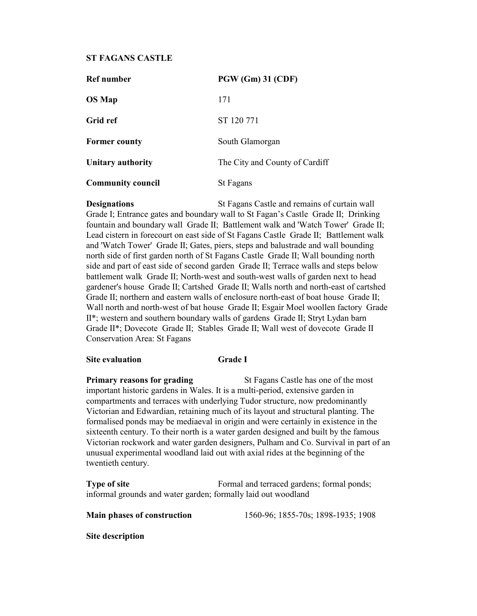# ST FAGANS CASTLE

| <b>Ref</b> number        | <b>PGW (Gm) 31 (CDF)</b>       |
|--------------------------|--------------------------------|
| <b>OS</b> Map            | 171                            |
| Grid ref                 | ST 120 771                     |
| <b>Former county</b>     | South Glamorgan                |
| Unitary authority        | The City and County of Cardiff |
| <b>Community council</b> | St Fagans                      |

**Designations** St Fagans Castle and remains of curtain wall Grade I; Entrance gates and boundary wall to St Fagan's Castle Grade II; Drinking fountain and boundary wall Grade II; Battlement walk and 'Watch Tower' Grade II; Lead cistern in forecourt on east side of St Fagans Castle Grade II; Battlement walk and 'Watch Tower' Grade II; Gates, piers, steps and balustrade and wall bounding north side of first garden north of St Fagans Castle Grade II; Wall bounding north side and part of east side of second garden Grade II; Terrace walls and steps below battlement walk Grade II; North-west and south-west walls of garden next to head gardener's house Grade II; Cartshed Grade II; Walls north and north-east of cartshed Grade II; northern and eastern walls of enclosure north-east of boat house Grade II; Wall north and north-west of bat house Grade II; Esgair Moel woollen factory Grade II\*; western and southern boundary walls of gardens Grade II; Stryt Lydan barn Grade II\*; Dovecote Grade II; Stables Grade II; Wall west of dovecote Grade II Conservation Area: St Fagans

## Site evaluation Grade I

**Primary reasons for grading St Fagans Castle has one of the most** important historic gardens in Wales. It is a multi-period, extensive garden in compartments and terraces with underlying Tudor structure, now predominantly Victorian and Edwardian, retaining much of its layout and structural planting. The formalised ponds may be mediaeval in origin and were certainly in existence in the sixteenth century. To their north is a water garden designed and built by the famous Victorian rockwork and water garden designers, Pulham and Co. Survival in part of an unusual experimental woodland laid out with axial rides at the beginning of the twentieth century.

Type of site Formal and terraced gardens; formal ponds; informal grounds and water garden; formally laid out woodland

Main phases of construction 1560-96; 1855-70s; 1898-1935; 1908

Site description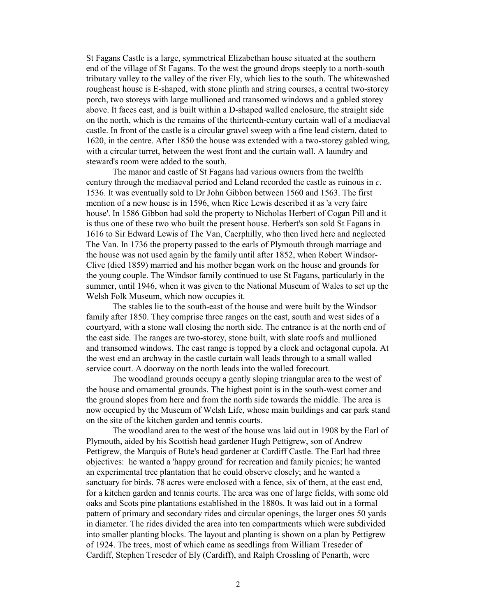St Fagans Castle is a large, symmetrical Elizabethan house situated at the southern end of the village of St Fagans. To the west the ground drops steeply to a north-south tributary valley to the valley of the river Ely, which lies to the south. The whitewashed roughcast house is E-shaped, with stone plinth and string courses, a central two-storey porch, two storeys with large mullioned and transomed windows and a gabled storey above. It faces east, and is built within a D-shaped walled enclosure, the straight side on the north, which is the remains of the thirteenth-century curtain wall of a mediaeval castle. In front of the castle is a circular gravel sweep with a fine lead cistern, dated to 1620, in the centre. After 1850 the house was extended with a two-storey gabled wing, with a circular turret, between the west front and the curtain wall. A laundry and steward's room were added to the south.

The manor and castle of St Fagans had various owners from the twelfth century through the mediaeval period and Leland recorded the castle as ruinous in c. 1536. It was eventually sold to Dr John Gibbon between 1560 and 1563. The first mention of a new house is in 1596, when Rice Lewis described it as 'a very faire house'. In 1586 Gibbon had sold the property to Nicholas Herbert of Cogan Pill and it is thus one of these two who built the present house. Herbert's son sold St Fagans in 1616 to Sir Edward Lewis of The Van, Caerphilly, who then lived here and neglected The Van. In 1736 the property passed to the earls of Plymouth through marriage and the house was not used again by the family until after 1852, when Robert Windsor-Clive (died 1859) married and his mother began work on the house and grounds for the young couple. The Windsor family continued to use St Fagans, particularly in the summer, until 1946, when it was given to the National Museum of Wales to set up the Welsh Folk Museum, which now occupies it.

The stables lie to the south-east of the house and were built by the Windsor family after 1850. They comprise three ranges on the east, south and west sides of a courtyard, with a stone wall closing the north side. The entrance is at the north end of the east side. The ranges are two-storey, stone built, with slate roofs and mullioned and transomed windows. The east range is topped by a clock and octagonal cupola. At the west end an archway in the castle curtain wall leads through to a small walled service court. A doorway on the north leads into the walled forecourt.

The woodland grounds occupy a gently sloping triangular area to the west of the house and ornamental grounds. The highest point is in the south-west corner and the ground slopes from here and from the north side towards the middle. The area is now occupied by the Museum of Welsh Life, whose main buildings and car park stand on the site of the kitchen garden and tennis courts.

The woodland area to the west of the house was laid out in 1908 by the Earl of Plymouth, aided by his Scottish head gardener Hugh Pettigrew, son of Andrew Pettigrew, the Marquis of Bute's head gardener at Cardiff Castle. The Earl had three objectives: he wanted a 'happy ground' for recreation and family picnics; he wanted an experimental tree plantation that he could observe closely; and he wanted a sanctuary for birds. 78 acres were enclosed with a fence, six of them, at the east end, for a kitchen garden and tennis courts. The area was one of large fields, with some old oaks and Scots pine plantations established in the 1880s. It was laid out in a formal pattern of primary and secondary rides and circular openings, the larger ones 50 yards in diameter. The rides divided the area into ten compartments which were subdivided into smaller planting blocks. The layout and planting is shown on a plan by Pettigrew of 1924. The trees, most of which came as seedlings from William Treseder of Cardiff, Stephen Treseder of Ely (Cardiff), and Ralph Crossling of Penarth, were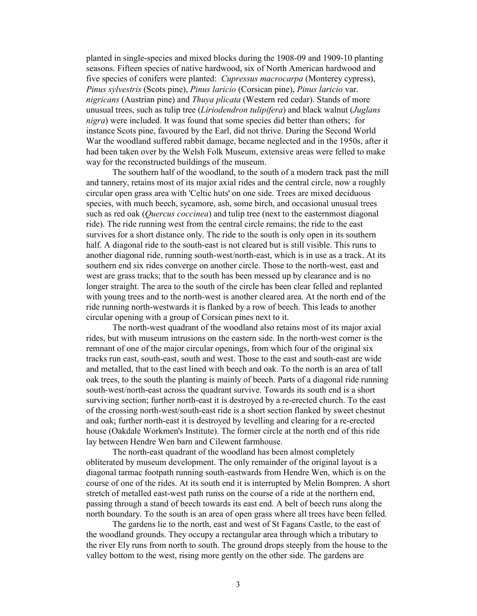planted in single-species and mixed blocks during the 1908-09 and 1909-10 planting seasons. Fifteen species of native hardwood, six of North American hardwood and five species of conifers were planted: Cupressus macrocarpa (Monterey cypress), Pinus sylvestris (Scots pine), Pinus laricio (Corsican pine), Pinus laricio var. nigricans (Austrian pine) and Thuya plicata (Western red cedar). Stands of more unusual trees, such as tulip tree (*Liriodendron tulipifera*) and black walnut (*Juglans*) nigra) were included. It was found that some species did better than others; for instance Scots pine, favoured by the Earl, did not thrive. During the Second World War the woodland suffered rabbit damage, became neglected and in the 1950s, after it had been taken over by the Welsh Folk Museum, extensive areas were felled to make way for the reconstructed buildings of the museum.

The southern half of the woodland, to the south of a modern track past the mill and tannery, retains most of its major axial rides and the central circle, now a roughly circular open grass area with 'Celtic huts' on one side. Trees are mixed deciduous species, with much beech, sycamore, ash, some birch, and occasional unusual trees such as red oak (*Quercus coccinea*) and tulip tree (next to the easternmost diagonal ride). The ride running west from the central circle remains; the ride to the east survives for a short distance only. The ride to the south is only open in its southern half. A diagonal ride to the south-east is not cleared but is still visible. This runs to another diagonal ride, running south-west/north-east, which is in use as a track. At its southern end six rides converge on another circle. Those to the north-west, east and west are grass tracks; that to the south has been messed up by clearance and is no longer straight. The area to the south of the circle has been clear felled and replanted with young trees and to the north-west is another cleared area. At the north end of the ride running north-westwards it is flanked by a row of beech. This leads to another circular opening with a group of Corsican pines next to it.

The north-west quadrant of the woodland also retains most of its major axial rides, but with museum intrusions on the eastern side. In the north-west corner is the remnant of one of the major circular openings, from which four of the original six tracks run east, south-east, south and west. Those to the east and south-east are wide and metalled, that to the east lined with beech and oak. To the north is an area of tall oak trees, to the south the planting is mainly of beech. Parts of a diagonal ride running south-west/north-east across the quadrant survive. Towards its south end is a short surviving section; further north-east it is destroyed by a re-erected church. To the east of the crossing north-west/south-east ride is a short section flanked by sweet chestnut and oak; further north-east it is destroyed by levelling and clearing for a re-erected house (Oakdale Workmen's Institute). The former circle at the north end of this ride lay between Hendre Wen barn and Cilewent farmhouse.

The north-east quadrant of the woodland has been almost completely obliterated by museum development. The only remainder of the original layout is a diagonal tarmac footpath running south-eastwards from Hendre Wen, which is on the course of one of the rides. At its south end it is interrupted by Melin Bompren. A short stretch of metalled east-west path runss on the course of a ride at the northern end, passing through a stand of beech towards its east end. A belt of beech runs along the north boundary. To the south is an area of open grass where all trees have been felled.

The gardens lie to the north, east and west of St Fagans Castle, to the east of the woodland grounds. They occupy a rectangular area through which a tributary to the river Ely runs from north to south. The ground drops steeply from the house to the valley bottom to the west, rising more gently on the other side. The gardens are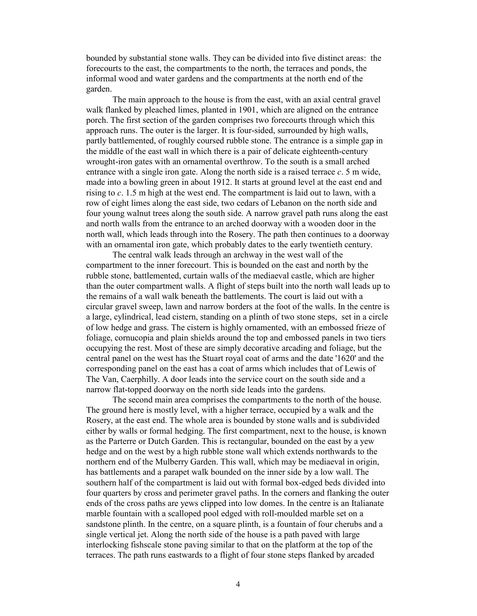bounded by substantial stone walls. They can be divided into five distinct areas: the forecourts to the east, the compartments to the north, the terraces and ponds, the informal wood and water gardens and the compartments at the north end of the garden.

The main approach to the house is from the east, with an axial central gravel walk flanked by pleached limes, planted in 1901, which are aligned on the entrance porch. The first section of the garden comprises two forecourts through which this approach runs. The outer is the larger. It is four-sided, surrounded by high walls, partly battlemented, of roughly coursed rubble stone. The entrance is a simple gap in the middle of the east wall in which there is a pair of delicate eighteenth-century wrought-iron gates with an ornamental overthrow. To the south is a small arched entrance with a single iron gate. Along the north side is a raised terrace  $c$ . 5 m wide, made into a bowling green in about 1912. It starts at ground level at the east end and rising to c. 1.5 m high at the west end. The compartment is laid out to lawn, with a row of eight limes along the east side, two cedars of Lebanon on the north side and four young walnut trees along the south side. A narrow gravel path runs along the east and north walls from the entrance to an arched doorway with a wooden door in the north wall, which leads through into the Rosery. The path then continues to a doorway with an ornamental iron gate, which probably dates to the early twentieth century.

The central walk leads through an archway in the west wall of the compartment to the inner forecourt. This is bounded on the east and north by the rubble stone, battlemented, curtain walls of the mediaeval castle, which are higher than the outer compartment walls. A flight of steps built into the north wall leads up to the remains of a wall walk beneath the battlements. The court is laid out with a circular gravel sweep, lawn and narrow borders at the foot of the walls. In the centre is a large, cylindrical, lead cistern, standing on a plinth of two stone steps, set in a circle of low hedge and grass. The cistern is highly ornamented, with an embossed frieze of foliage, cornucopia and plain shields around the top and embossed panels in two tiers occupying the rest. Most of these are simply decorative arcading and foliage, but the central panel on the west has the Stuart royal coat of arms and the date '1620' and the corresponding panel on the east has a coat of arms which includes that of Lewis of The Van, Caerphilly. A door leads into the service court on the south side and a narrow flat-topped doorway on the north side leads into the gardens.

The second main area comprises the compartments to the north of the house. The ground here is mostly level, with a higher terrace, occupied by a walk and the Rosery, at the east end. The whole area is bounded by stone walls and is subdivided either by walls or formal hedging. The first compartment, next to the house, is known as the Parterre or Dutch Garden. This is rectangular, bounded on the east by a yew hedge and on the west by a high rubble stone wall which extends northwards to the northern end of the Mulberry Garden. This wall, which may be mediaeval in origin, has battlements and a parapet walk bounded on the inner side by a low wall. The southern half of the compartment is laid out with formal box-edged beds divided into four quarters by cross and perimeter gravel paths. In the corners and flanking the outer ends of the cross paths are yews clipped into low domes. In the centre is an Italianate marble fountain with a scalloped pool edged with roll-moulded marble set on a sandstone plinth. In the centre, on a square plinth, is a fountain of four cherubs and a single vertical jet. Along the north side of the house is a path paved with large interlocking fishscale stone paving similar to that on the platform at the top of the terraces. The path runs eastwards to a flight of four stone steps flanked by arcaded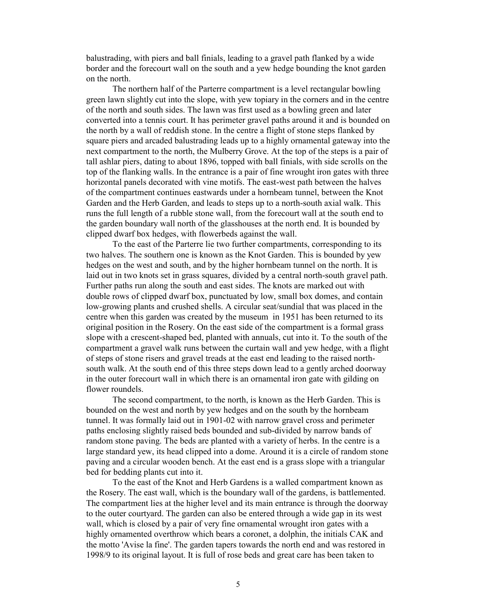balustrading, with piers and ball finials, leading to a gravel path flanked by a wide border and the forecourt wall on the south and a yew hedge bounding the knot garden on the north.

The northern half of the Parterre compartment is a level rectangular bowling green lawn slightly cut into the slope, with yew topiary in the corners and in the centre of the north and south sides. The lawn was first used as a bowling green and later converted into a tennis court. It has perimeter gravel paths around it and is bounded on the north by a wall of reddish stone. In the centre a flight of stone steps flanked by square piers and arcaded balustrading leads up to a highly ornamental gateway into the next compartment to the north, the Mulberry Grove. At the top of the steps is a pair of tall ashlar piers, dating to about 1896, topped with ball finials, with side scrolls on the top of the flanking walls. In the entrance is a pair of fine wrought iron gates with three horizontal panels decorated with vine motifs. The east-west path between the halves of the compartment continues eastwards under a hornbeam tunnel, between the Knot Garden and the Herb Garden, and leads to steps up to a north-south axial walk. This runs the full length of a rubble stone wall, from the forecourt wall at the south end to the garden boundary wall north of the glasshouses at the north end. It is bounded by clipped dwarf box hedges, with flowerbeds against the wall.

To the east of the Parterre lie two further compartments, corresponding to its two halves. The southern one is known as the Knot Garden. This is bounded by yew hedges on the west and south, and by the higher hornbeam tunnel on the north. It is laid out in two knots set in grass squares, divided by a central north-south gravel path. Further paths run along the south and east sides. The knots are marked out with double rows of clipped dwarf box, punctuated by low, small box domes, and contain low-growing plants and crushed shells. A circular seat/sundial that was placed in the centre when this garden was created by the museum in 1951 has been returned to its original position in the Rosery. On the east side of the compartment is a formal grass slope with a crescent-shaped bed, planted with annuals, cut into it. To the south of the compartment a gravel walk runs between the curtain wall and yew hedge, with a flight of steps of stone risers and gravel treads at the east end leading to the raised northsouth walk. At the south end of this three steps down lead to a gently arched doorway in the outer forecourt wall in which there is an ornamental iron gate with gilding on flower roundels.

The second compartment, to the north, is known as the Herb Garden. This is bounded on the west and north by yew hedges and on the south by the hornbeam tunnel. It was formally laid out in 1901-02 with narrow gravel cross and perimeter paths enclosing slightly raised beds bounded and sub-divided by narrow bands of random stone paving. The beds are planted with a variety of herbs. In the centre is a large standard yew, its head clipped into a dome. Around it is a circle of random stone paving and a circular wooden bench. At the east end is a grass slope with a triangular bed for bedding plants cut into it.

To the east of the Knot and Herb Gardens is a walled compartment known as the Rosery. The east wall, which is the boundary wall of the gardens, is battlemented. The compartment lies at the higher level and its main entrance is through the doorway to the outer courtyard. The garden can also be entered through a wide gap in its west wall, which is closed by a pair of very fine ornamental wrought iron gates with a highly ornamented overthrow which bears a coronet, a dolphin, the initials CAK and the motto 'Avise la fine'. The garden tapers towards the north end and was restored in 1998/9 to its original layout. It is full of rose beds and great care has been taken to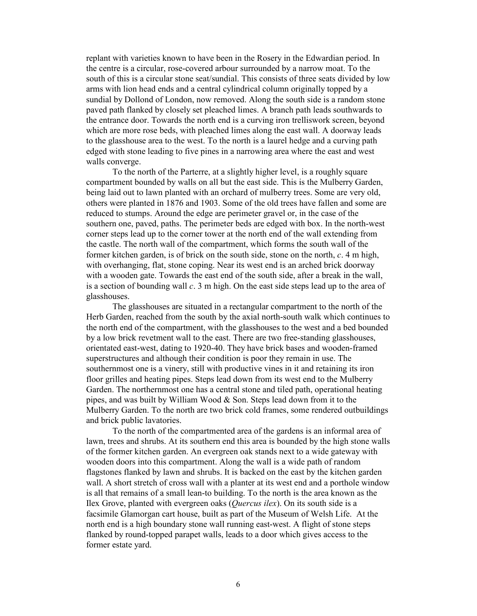replant with varieties known to have been in the Rosery in the Edwardian period. In the centre is a circular, rose-covered arbour surrounded by a narrow moat. To the south of this is a circular stone seat/sundial. This consists of three seats divided by low arms with lion head ends and a central cylindrical column originally topped by a sundial by Dollond of London, now removed. Along the south side is a random stone paved path flanked by closely set pleached limes. A branch path leads southwards to the entrance door. Towards the north end is a curving iron trelliswork screen, beyond which are more rose beds, with pleached limes along the east wall. A doorway leads to the glasshouse area to the west. To the north is a laurel hedge and a curving path edged with stone leading to five pines in a narrowing area where the east and west walls converge.

To the north of the Parterre, at a slightly higher level, is a roughly square compartment bounded by walls on all but the east side. This is the Mulberry Garden, being laid out to lawn planted with an orchard of mulberry trees. Some are very old, others were planted in 1876 and 1903. Some of the old trees have fallen and some are reduced to stumps. Around the edge are perimeter gravel or, in the case of the southern one, paved, paths. The perimeter beds are edged with box. In the north-west corner steps lead up to the corner tower at the north end of the wall extending from the castle. The north wall of the compartment, which forms the south wall of the former kitchen garden, is of brick on the south side, stone on the north,  $c$ , 4 m high, with overhanging, flat, stone coping. Near its west end is an arched brick doorway with a wooden gate. Towards the east end of the south side, after a break in the wall, is a section of bounding wall  $c$ . 3 m high. On the east side steps lead up to the area of glasshouses.

The glasshouses are situated in a rectangular compartment to the north of the Herb Garden, reached from the south by the axial north-south walk which continues to the north end of the compartment, with the glasshouses to the west and a bed bounded by a low brick revetment wall to the east. There are two free-standing glasshouses, orientated east-west, dating to 1920-40. They have brick bases and wooden-framed superstructures and although their condition is poor they remain in use. The southernmost one is a vinery, still with productive vines in it and retaining its iron floor grilles and heating pipes. Steps lead down from its west end to the Mulberry Garden. The northernmost one has a central stone and tiled path, operational heating pipes, and was built by William Wood & Son. Steps lead down from it to the Mulberry Garden. To the north are two brick cold frames, some rendered outbuildings and brick public lavatories.

To the north of the compartmented area of the gardens is an informal area of lawn, trees and shrubs. At its southern end this area is bounded by the high stone walls of the former kitchen garden. An evergreen oak stands next to a wide gateway with wooden doors into this compartment. Along the wall is a wide path of random flagstones flanked by lawn and shrubs. It is backed on the east by the kitchen garden wall. A short stretch of cross wall with a planter at its west end and a porthole window is all that remains of a small lean-to building. To the north is the area known as the Ilex Grove, planted with evergreen oaks (Quercus ilex). On its south side is a facsimile Glamorgan cart house, built as part of the Museum of Welsh Life. At the north end is a high boundary stone wall running east-west. A flight of stone steps flanked by round-topped parapet walls, leads to a door which gives access to the former estate yard.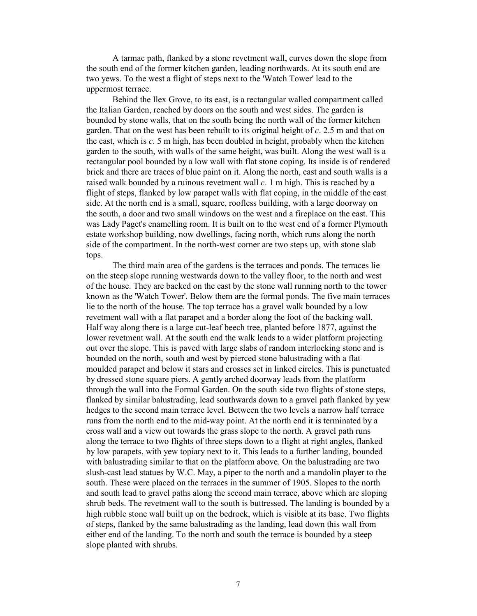A tarmac path, flanked by a stone revetment wall, curves down the slope from the south end of the former kitchen garden, leading northwards. At its south end are two yews. To the west a flight of steps next to the 'Watch Tower' lead to the uppermost terrace.

Behind the Ilex Grove, to its east, is a rectangular walled compartment called the Italian Garden, reached by doors on the south and west sides. The garden is bounded by stone walls, that on the south being the north wall of the former kitchen garden. That on the west has been rebuilt to its original height of  $c$ . 2.5 m and that on the east, which is  $c$ . 5 m high, has been doubled in height, probably when the kitchen garden to the south, with walls of the same height, was built. Along the west wall is a rectangular pool bounded by a low wall with flat stone coping. Its inside is of rendered brick and there are traces of blue paint on it. Along the north, east and south walls is a raised walk bounded by a ruinous revetment wall  $c$ . 1 m high. This is reached by a flight of steps, flanked by low parapet walls with flat coping, in the middle of the east side. At the north end is a small, square, roofless building, with a large doorway on the south, a door and two small windows on the west and a fireplace on the east. This was Lady Paget's enamelling room. It is built on to the west end of a former Plymouth estate workshop building, now dwellings, facing north, which runs along the north side of the compartment. In the north-west corner are two steps up, with stone slab tops.

The third main area of the gardens is the terraces and ponds. The terraces lie on the steep slope running westwards down to the valley floor, to the north and west of the house. They are backed on the east by the stone wall running north to the tower known as the 'Watch Tower'. Below them are the formal ponds. The five main terraces lie to the north of the house. The top terrace has a gravel walk bounded by a low revetment wall with a flat parapet and a border along the foot of the backing wall. Half way along there is a large cut-leaf beech tree, planted before 1877, against the lower revetment wall. At the south end the walk leads to a wider platform projecting out over the slope. This is paved with large slabs of random interlocking stone and is bounded on the north, south and west by pierced stone balustrading with a flat moulded parapet and below it stars and crosses set in linked circles. This is punctuated by dressed stone square piers. A gently arched doorway leads from the platform through the wall into the Formal Garden. On the south side two flights of stone steps, flanked by similar balustrading, lead southwards down to a gravel path flanked by yew hedges to the second main terrace level. Between the two levels a narrow half terrace runs from the north end to the mid-way point. At the north end it is terminated by a cross wall and a view out towards the grass slope to the north. A gravel path runs along the terrace to two flights of three steps down to a flight at right angles, flanked by low parapets, with yew topiary next to it. This leads to a further landing, bounded with balustrading similar to that on the platform above. On the balustrading are two slush-cast lead statues by W.C. May, a piper to the north and a mandolin player to the south. These were placed on the terraces in the summer of 1905. Slopes to the north and south lead to gravel paths along the second main terrace, above which are sloping shrub beds. The revetment wall to the south is buttressed. The landing is bounded by a high rubble stone wall built up on the bedrock, which is visible at its base. Two flights of steps, flanked by the same balustrading as the landing, lead down this wall from either end of the landing. To the north and south the terrace is bounded by a steep slope planted with shrubs.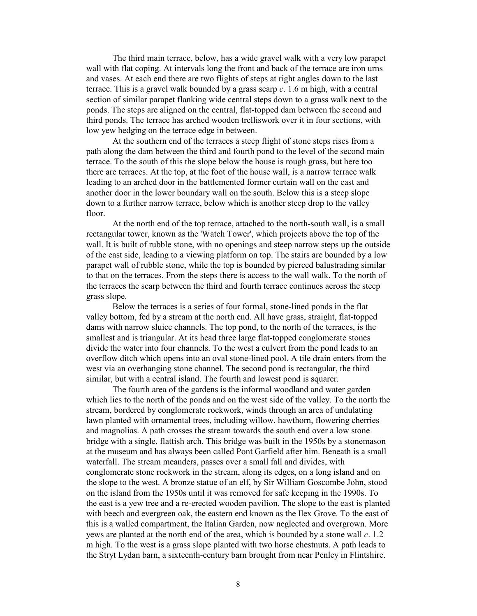The third main terrace, below, has a wide gravel walk with a very low parapet wall with flat coping. At intervals long the front and back of the terrace are iron urns and vases. At each end there are two flights of steps at right angles down to the last terrace. This is a gravel walk bounded by a grass scarp  $c$ . 1.6 m high, with a central section of similar parapet flanking wide central steps down to a grass walk next to the ponds. The steps are aligned on the central, flat-topped dam between the second and third ponds. The terrace has arched wooden trelliswork over it in four sections, with low yew hedging on the terrace edge in between.

At the southern end of the terraces a steep flight of stone steps rises from a path along the dam between the third and fourth pond to the level of the second main terrace. To the south of this the slope below the house is rough grass, but here too there are terraces. At the top, at the foot of the house wall, is a narrow terrace walk leading to an arched door in the battlemented former curtain wall on the east and another door in the lower boundary wall on the south. Below this is a steep slope down to a further narrow terrace, below which is another steep drop to the valley floor.

At the north end of the top terrace, attached to the north-south wall, is a small rectangular tower, known as the 'Watch Tower', which projects above the top of the wall. It is built of rubble stone, with no openings and steep narrow steps up the outside of the east side, leading to a viewing platform on top. The stairs are bounded by a low parapet wall of rubble stone, while the top is bounded by pierced balustrading similar to that on the terraces. From the steps there is access to the wall walk. To the north of the terraces the scarp between the third and fourth terrace continues across the steep grass slope.

Below the terraces is a series of four formal, stone-lined ponds in the flat valley bottom, fed by a stream at the north end. All have grass, straight, flat-topped dams with narrow sluice channels. The top pond, to the north of the terraces, is the smallest and is triangular. At its head three large flat-topped conglomerate stones divide the water into four channels. To the west a culvert from the pond leads to an overflow ditch which opens into an oval stone-lined pool. A tile drain enters from the west via an overhanging stone channel. The second pond is rectangular, the third similar, but with a central island. The fourth and lowest pond is squarer.

The fourth area of the gardens is the informal woodland and water garden which lies to the north of the ponds and on the west side of the valley. To the north the stream, bordered by conglomerate rockwork, winds through an area of undulating lawn planted with ornamental trees, including willow, hawthorn, flowering cherries and magnolias. A path crosses the stream towards the south end over a low stone bridge with a single, flattish arch. This bridge was built in the 1950s by a stonemason at the museum and has always been called Pont Garfield after him. Beneath is a small waterfall. The stream meanders, passes over a small fall and divides, with conglomerate stone rockwork in the stream, along its edges, on a long island and on the slope to the west. A bronze statue of an elf, by Sir William Goscombe John, stood on the island from the 1950s until it was removed for safe keeping in the 1990s. To the east is a yew tree and a re-erected wooden pavilion. The slope to the east is planted with beech and evergreen oak, the eastern end known as the Ilex Grove. To the east of this is a walled compartment, the Italian Garden, now neglected and overgrown. More yews are planted at the north end of the area, which is bounded by a stone wall  $c$ . 1.2 m high. To the west is a grass slope planted with two horse chestnuts. A path leads to the Stryt Lydan barn, a sixteenth-century barn brought from near Penley in Flintshire.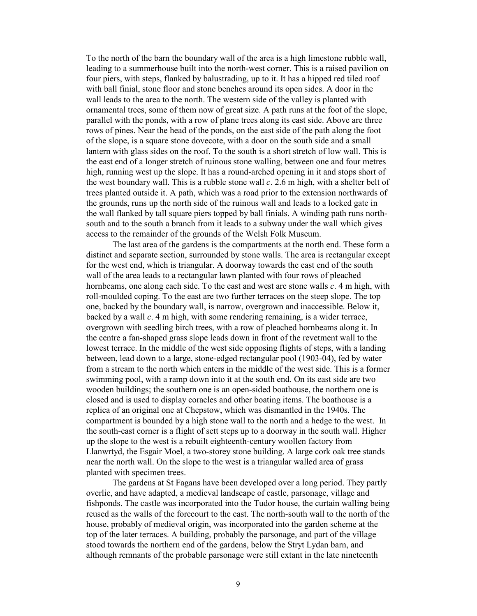To the north of the barn the boundary wall of the area is a high limestone rubble wall, leading to a summerhouse built into the north-west corner. This is a raised pavilion on four piers, with steps, flanked by balustrading, up to it. It has a hipped red tiled roof with ball finial, stone floor and stone benches around its open sides. A door in the wall leads to the area to the north. The western side of the valley is planted with ornamental trees, some of them now of great size. A path runs at the foot of the slope, parallel with the ponds, with a row of plane trees along its east side. Above are three rows of pines. Near the head of the ponds, on the east side of the path along the foot of the slope, is a square stone dovecote, with a door on the south side and a small lantern with glass sides on the roof. To the south is a short stretch of low wall. This is the east end of a longer stretch of ruinous stone walling, between one and four metres high, running west up the slope. It has a round-arched opening in it and stops short of the west boundary wall. This is a rubble stone wall  $c$ . 2.6 m high, with a shelter belt of trees planted outside it. A path, which was a road prior to the extension northwards of the grounds, runs up the north side of the ruinous wall and leads to a locked gate in the wall flanked by tall square piers topped by ball finials. A winding path runs northsouth and to the south a branch from it leads to a subway under the wall which gives access to the remainder of the grounds of the Welsh Folk Museum.

The last area of the gardens is the compartments at the north end. These form a distinct and separate section, surrounded by stone walls. The area is rectangular except for the west end, which is triangular. A doorway towards the east end of the south wall of the area leads to a rectangular lawn planted with four rows of pleached hornbeams, one along each side. To the east and west are stone walls  $c$ . 4 m high, with roll-moulded coping. To the east are two further terraces on the steep slope. The top one, backed by the boundary wall, is narrow, overgrown and inaccessible. Below it, backed by a wall  $c$ . 4 m high, with some rendering remaining, is a wider terrace, overgrown with seedling birch trees, with a row of pleached hornbeams along it. In the centre a fan-shaped grass slope leads down in front of the revetment wall to the lowest terrace. In the middle of the west side opposing flights of steps, with a landing between, lead down to a large, stone-edged rectangular pool (1903-04), fed by water from a stream to the north which enters in the middle of the west side. This is a former swimming pool, with a ramp down into it at the south end. On its east side are two wooden buildings; the southern one is an open-sided boathouse, the northern one is closed and is used to display coracles and other boating items. The boathouse is a replica of an original one at Chepstow, which was dismantled in the 1940s. The compartment is bounded by a high stone wall to the north and a hedge to the west. In the south-east corner is a flight of sett steps up to a doorway in the south wall. Higher up the slope to the west is a rebuilt eighteenth-century woollen factory from Llanwrtyd, the Esgair Moel, a two-storey stone building. A large cork oak tree stands near the north wall. On the slope to the west is a triangular walled area of grass planted with specimen trees.

The gardens at St Fagans have been developed over a long period. They partly overlie, and have adapted, a medieval landscape of castle, parsonage, village and fishponds. The castle was incorporated into the Tudor house, the curtain walling being reused as the walls of the forecourt to the east. The north-south wall to the north of the house, probably of medieval origin, was incorporated into the garden scheme at the top of the later terraces. A building, probably the parsonage, and part of the village stood towards the northern end of the gardens, below the Stryt Lydan barn, and although remnants of the probable parsonage were still extant in the late nineteenth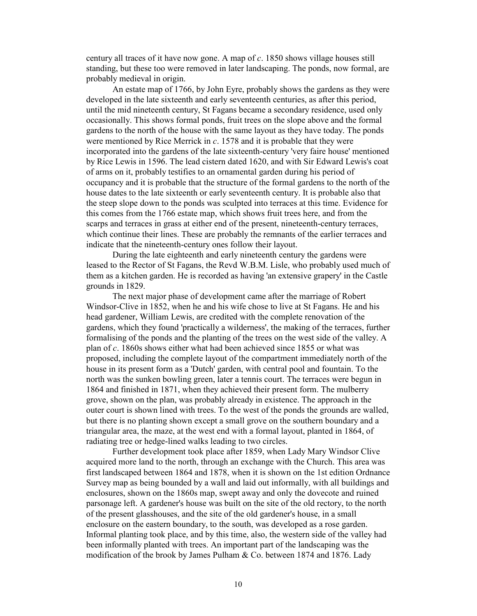century all traces of it have now gone. A map of  $c$ . 1850 shows village houses still standing, but these too were removed in later landscaping. The ponds, now formal, are probably medieval in origin.

An estate map of 1766, by John Eyre, probably shows the gardens as they were developed in the late sixteenth and early seventeenth centuries, as after this period, until the mid nineteenth century, St Fagans became a secondary residence, used only occasionally. This shows formal ponds, fruit trees on the slope above and the formal gardens to the north of the house with the same layout as they have today. The ponds were mentioned by Rice Merrick in c. 1578 and it is probable that they were incorporated into the gardens of the late sixteenth-century 'very faire house' mentioned by Rice Lewis in 1596. The lead cistern dated 1620, and with Sir Edward Lewis's coat of arms on it, probably testifies to an ornamental garden during his period of occupancy and it is probable that the structure of the formal gardens to the north of the house dates to the late sixteenth or early seventeenth century. It is probable also that the steep slope down to the ponds was sculpted into terraces at this time. Evidence for this comes from the 1766 estate map, which shows fruit trees here, and from the scarps and terraces in grass at either end of the present, nineteenth-century terraces, which continue their lines. These are probably the remnants of the earlier terraces and indicate that the nineteenth-century ones follow their layout.

During the late eighteenth and early nineteenth century the gardens were leased to the Rector of St Fagans, the Revd W.B.M. Lisle, who probably used much of them as a kitchen garden. He is recorded as having 'an extensive grapery' in the Castle grounds in 1829.

The next major phase of development came after the marriage of Robert Windsor-Clive in 1852, when he and his wife chose to live at St Fagans. He and his head gardener, William Lewis, are credited with the complete renovation of the gardens, which they found 'practically a wilderness', the making of the terraces, further formalising of the ponds and the planting of the trees on the west side of the valley. A plan of c. 1860s shows either what had been achieved since 1855 or what was proposed, including the complete layout of the compartment immediately north of the house in its present form as a 'Dutch' garden, with central pool and fountain. To the north was the sunken bowling green, later a tennis court. The terraces were begun in 1864 and finished in 1871, when they achieved their present form. The mulberry grove, shown on the plan, was probably already in existence. The approach in the outer court is shown lined with trees. To the west of the ponds the grounds are walled, but there is no planting shown except a small grove on the southern boundary and a triangular area, the maze, at the west end with a formal layout, planted in 1864, of radiating tree or hedge-lined walks leading to two circles.

Further development took place after 1859, when Lady Mary Windsor Clive acquired more land to the north, through an exchange with the Church. This area was first landscaped between 1864 and 1878, when it is shown on the 1st edition Ordnance Survey map as being bounded by a wall and laid out informally, with all buildings and enclosures, shown on the 1860s map, swept away and only the dovecote and ruined parsonage left. A gardener's house was built on the site of the old rectory, to the north of the present glasshouses, and the site of the old gardener's house, in a small enclosure on the eastern boundary, to the south, was developed as a rose garden. Informal planting took place, and by this time, also, the western side of the valley had been informally planted with trees. An important part of the landscaping was the modification of the brook by James Pulham & Co. between 1874 and 1876. Lady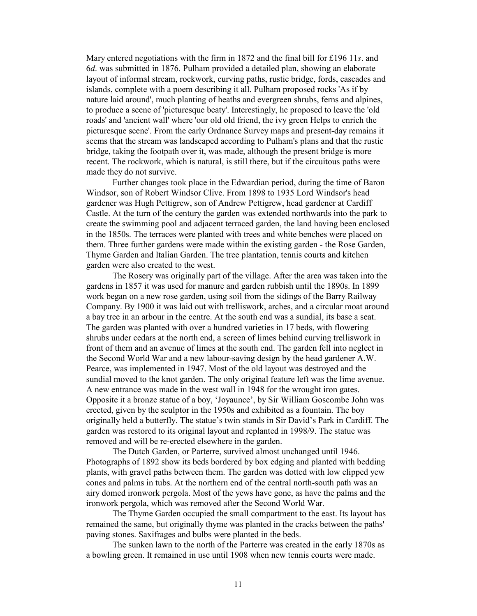Mary entered negotiations with the firm in 1872 and the final bill for £196 11s. and 6d. was submitted in 1876. Pulham provided a detailed plan, showing an elaborate layout of informal stream, rockwork, curving paths, rustic bridge, fords, cascades and islands, complete with a poem describing it all. Pulham proposed rocks 'As if by nature laid around', much planting of heaths and evergreen shrubs, ferns and alpines, to produce a scene of 'picturesque beaty'. Interestingly, he proposed to leave the 'old roads' and 'ancient wall' where 'our old old friend, the ivy green Helps to enrich the picturesque scene'. From the early Ordnance Survey maps and present-day remains it seems that the stream was landscaped according to Pulham's plans and that the rustic bridge, taking the footpath over it, was made, although the present bridge is more recent. The rockwork, which is natural, is still there, but if the circuitous paths were made they do not survive.

Further changes took place in the Edwardian period, during the time of Baron Windsor, son of Robert Windsor Clive. From 1898 to 1935 Lord Windsor's head gardener was Hugh Pettigrew, son of Andrew Pettigrew, head gardener at Cardiff Castle. At the turn of the century the garden was extended northwards into the park to create the swimming pool and adjacent terraced garden, the land having been enclosed in the 1850s. The terraces were planted with trees and white benches were placed on them. Three further gardens were made within the existing garden - the Rose Garden, Thyme Garden and Italian Garden. The tree plantation, tennis courts and kitchen garden were also created to the west.

The Rosery was originally part of the village. After the area was taken into the gardens in 1857 it was used for manure and garden rubbish until the 1890s. In 1899 work began on a new rose garden, using soil from the sidings of the Barry Railway Company. By 1900 it was laid out with trelliswork, arches, and a circular moat around a bay tree in an arbour in the centre. At the south end was a sundial, its base a seat. The garden was planted with over a hundred varieties in 17 beds, with flowering shrubs under cedars at the north end, a screen of limes behind curving trelliswork in front of them and an avenue of limes at the south end. The garden fell into neglect in the Second World War and a new labour-saving design by the head gardener A.W. Pearce, was implemented in 1947. Most of the old layout was destroyed and the sundial moved to the knot garden. The only original feature left was the lime avenue. A new entrance was made in the west wall in 1948 for the wrought iron gates. Opposite it a bronze statue of a boy, 'Joyaunce', by Sir William Goscombe John was erected, given by the sculptor in the 1950s and exhibited as a fountain. The boy originally held a butterfly. The statue's twin stands in Sir David's Park in Cardiff. The garden was restored to its original layout and replanted in 1998/9. The statue was removed and will be re-erected elsewhere in the garden.

The Dutch Garden, or Parterre, survived almost unchanged until 1946. Photographs of 1892 show its beds bordered by box edging and planted with bedding plants, with gravel paths between them. The garden was dotted with low clipped yew cones and palms in tubs. At the northern end of the central north-south path was an airy domed ironwork pergola. Most of the yews have gone, as have the palms and the ironwork pergola, which was removed after the Second World War.

The Thyme Garden occupied the small compartment to the east. Its layout has remained the same, but originally thyme was planted in the cracks between the paths' paving stones. Saxifrages and bulbs were planted in the beds.

The sunken lawn to the north of the Parterre was created in the early 1870s as a bowling green. It remained in use until 1908 when new tennis courts were made.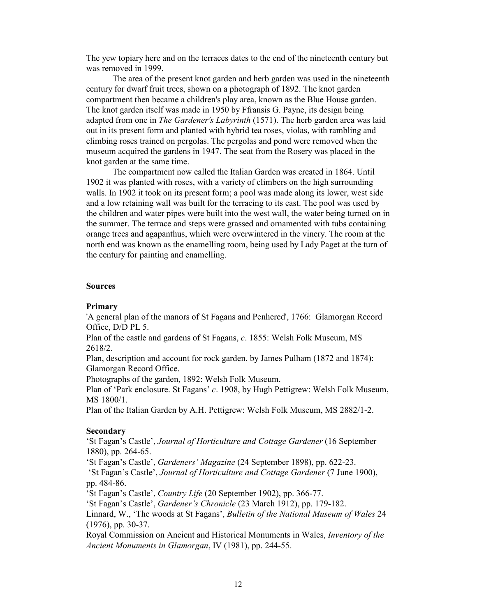The yew topiary here and on the terraces dates to the end of the nineteenth century but was removed in 1999.

The area of the present knot garden and herb garden was used in the nineteenth century for dwarf fruit trees, shown on a photograph of 1892. The knot garden compartment then became a children's play area, known as the Blue House garden. The knot garden itself was made in 1950 by Ffransis G. Payne, its design being adapted from one in The Gardener's Labyrinth (1571). The herb garden area was laid out in its present form and planted with hybrid tea roses, violas, with rambling and climbing roses trained on pergolas. The pergolas and pond were removed when the museum acquired the gardens in 1947. The seat from the Rosery was placed in the knot garden at the same time.

The compartment now called the Italian Garden was created in 1864. Until 1902 it was planted with roses, with a variety of climbers on the high surrounding walls. In 1902 it took on its present form; a pool was made along its lower, west side and a low retaining wall was built for the terracing to its east. The pool was used by the children and water pipes were built into the west wall, the water being turned on in the summer. The terrace and steps were grassed and ornamented with tubs containing orange trees and agapanthus, which were overwintered in the vinery. The room at the north end was known as the enamelling room, being used by Lady Paget at the turn of the century for painting and enamelling.

## Sources

#### Primary

'A general plan of the manors of St Fagans and Penhered', 1766: Glamorgan Record Office, D/D PL 5.

Plan of the castle and gardens of St Fagans, c. 1855: Welsh Folk Museum, MS 2618/2.

Plan, description and account for rock garden, by James Pulham (1872 and 1874): Glamorgan Record Office.

Photographs of the garden, 1892: Welsh Folk Museum.

Plan of 'Park enclosure. St Fagans' c. 1908, by Hugh Pettigrew: Welsh Folk Museum, MS 1800/1.

Plan of the Italian Garden by A.H. Pettigrew: Welsh Folk Museum, MS 2882/1-2.

#### Secondary

'St Fagan's Castle', Journal of Horticulture and Cottage Gardener (16 September 1880), pp. 264-65.

'St Fagan's Castle', Gardeners' Magazine (24 September 1898), pp. 622-23.

 'St Fagan's Castle', Journal of Horticulture and Cottage Gardener (7 June 1900), pp. 484-86.

'St Fagan's Castle', Country Life (20 September 1902), pp. 366-77.

'St Fagan's Castle', Gardener's Chronicle (23 March 1912), pp. 179-182.

Linnard, W., 'The woods at St Fagans', Bulletin of the National Museum of Wales 24 (1976), pp. 30-37.

Royal Commission on Ancient and Historical Monuments in Wales, Inventory of the Ancient Monuments in Glamorgan, IV (1981), pp. 244-55.